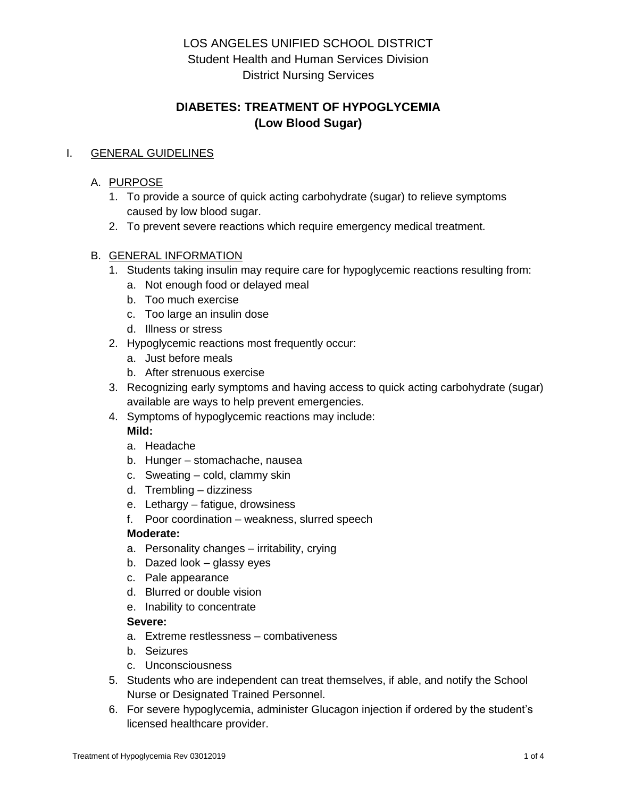# **DIABETES: TREATMENT OF HYPOGLYCEMIA (Low Blood Sugar)**

### I. GENERAL GUIDELINES

### A. PURPOSE

- 1. To provide a source of quick acting carbohydrate (sugar) to relieve symptoms caused by low blood sugar.
- 2. To prevent severe reactions which require emergency medical treatment.

### B. GENERAL INFORMATION

- 1. Students taking insulin may require care for hypoglycemic reactions resulting from:
	- a. Not enough food or delayed meal
	- b. Too much exercise
	- c. Too large an insulin dose
	- d. Illness or stress
- 2. Hypoglycemic reactions most frequently occur:
	- a. Just before meals
	- b. After strenuous exercise
- 3. Recognizing early symptoms and having access to quick acting carbohydrate (sugar) available are ways to help prevent emergencies.
- 4. Symptoms of hypoglycemic reactions may include:

## **Mild:**

- a. Headache
- b. Hunger stomachache, nausea
- c. Sweating cold, clammy skin
- d. Trembling dizziness
- e. Lethargy fatigue, drowsiness
- f. Poor coordination weakness, slurred speech

#### **Moderate:**

- a. Personality changes irritability, crying
- b. Dazed look glassy eyes
- c. Pale appearance
- d. Blurred or double vision
- e. Inability to concentrate

#### **Severe:**

- a. Extreme restlessness combativeness
- b. Seizures
- c. Unconsciousness
- 5. Students who are independent can treat themselves, if able, and notify the School Nurse or Designated Trained Personnel.
- 6. For severe hypoglycemia, administer Glucagon injection if ordered by the student's licensed healthcare provider.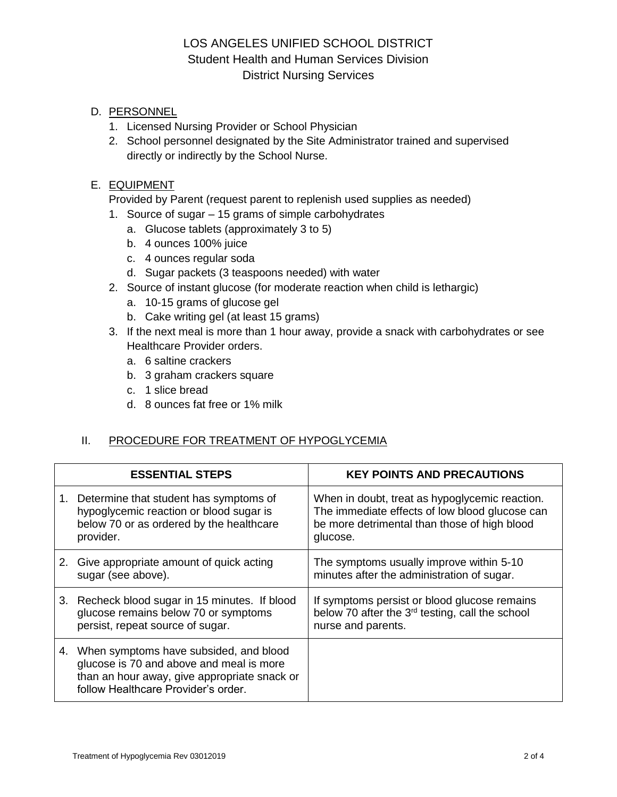### D. PERSONNEL

- 1. Licensed Nursing Provider or School Physician
- 2. School personnel designated by the Site Administrator trained and supervised directly or indirectly by the School Nurse.

### E. EQUIPMENT

Provided by Parent (request parent to replenish used supplies as needed)

- 1. Source of sugar 15 grams of simple carbohydrates
	- a. Glucose tablets (approximately 3 to 5)
	- b. 4 ounces 100% juice
	- c. 4 ounces regular soda
	- d. Sugar packets (3 teaspoons needed) with water
- 2. Source of instant glucose (for moderate reaction when child is lethargic)
	- a. 10-15 grams of glucose gel
	- b. Cake writing gel (at least 15 grams)
- 3. If the next meal is more than 1 hour away, provide a snack with carbohydrates or see Healthcare Provider orders.
	- a. 6 saltine crackers
	- b. 3 graham crackers square
	- c. 1 slice bread
	- d. 8 ounces fat free or 1% milk

#### II. PROCEDURE FOR TREATMENT OF HYPOGLYCEMIA

| <b>ESSENTIAL STEPS</b>                                                                                                                                                       | <b>KEY POINTS AND PRECAUTIONS</b>                                                                                                                            |
|------------------------------------------------------------------------------------------------------------------------------------------------------------------------------|--------------------------------------------------------------------------------------------------------------------------------------------------------------|
| 1. Determine that student has symptoms of<br>hypoglycemic reaction or blood sugar is<br>below 70 or as ordered by the healthcare<br>provider.                                | When in doubt, treat as hypoglycemic reaction.<br>The immediate effects of low blood glucose can<br>be more detrimental than those of high blood<br>glucose. |
| 2. Give appropriate amount of quick acting<br>sugar (see above).                                                                                                             | The symptoms usually improve within 5-10<br>minutes after the administration of sugar.                                                                       |
| 3. Recheck blood sugar in 15 minutes. If blood<br>glucose remains below 70 or symptoms<br>persist, repeat source of sugar.                                                   | If symptoms persist or blood glucose remains<br>below 70 after the 3 <sup>rd</sup> testing, call the school<br>nurse and parents.                            |
| 4. When symptoms have subsided, and blood<br>glucose is 70 and above and meal is more<br>than an hour away, give appropriate snack or<br>follow Healthcare Provider's order. |                                                                                                                                                              |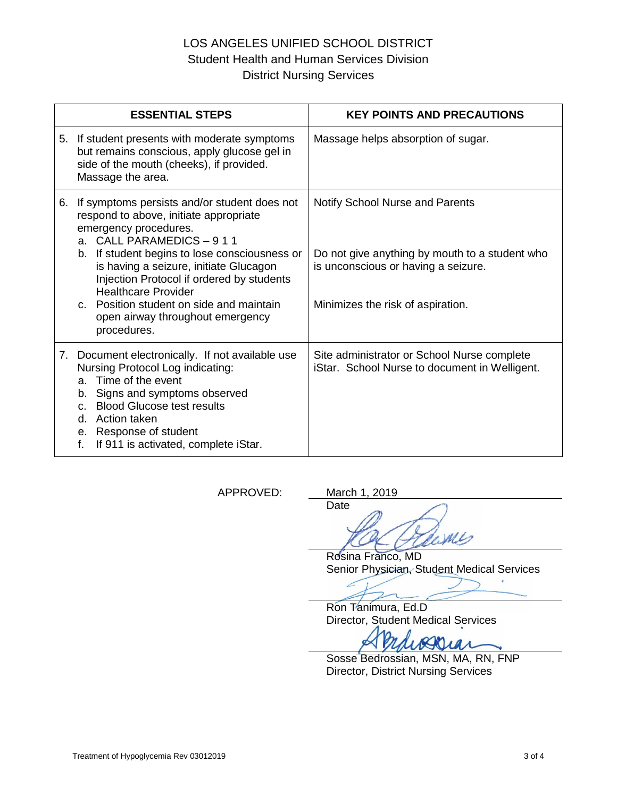|    | <b>ESSENTIAL STEPS</b>                                                                                                                                                                                                                                                                                                                                                                                           | <b>KEY POINTS AND PRECAUTIONS</b>                                                                                                                                    |
|----|------------------------------------------------------------------------------------------------------------------------------------------------------------------------------------------------------------------------------------------------------------------------------------------------------------------------------------------------------------------------------------------------------------------|----------------------------------------------------------------------------------------------------------------------------------------------------------------------|
|    | 5. If student presents with moderate symptoms<br>but remains conscious, apply glucose gel in<br>side of the mouth (cheeks), if provided.<br>Massage the area.                                                                                                                                                                                                                                                    | Massage helps absorption of sugar.                                                                                                                                   |
| 6. | If symptoms persists and/or student does not<br>respond to above, initiate appropriate<br>emergency procedures.<br>a. CALL PARAMEDICS - 911<br>b. If student begins to lose consciousness or<br>is having a seizure, initiate Glucagon<br>Injection Protocol if ordered by students<br><b>Healthcare Provider</b><br>c. Position student on side and maintain<br>open airway throughout emergency<br>procedures. | <b>Notify School Nurse and Parents</b><br>Do not give anything by mouth to a student who<br>is unconscious or having a seizure.<br>Minimizes the risk of aspiration. |
|    | 7. Document electronically. If not available use<br>Nursing Protocol Log indicating:<br>a. Time of the event<br>Signs and symptoms observed<br>b.<br><b>Blood Glucose test results</b><br>$\mathbf{C}$ .<br>d. Action taken<br>e. Response of student<br>f.<br>If 911 is activated, complete iStar.                                                                                                              | Site administrator or School Nurse complete<br>iStar. School Nurse to document in Welligent.                                                                         |

APPROVED: March 1, 2019

Date ML

Rosina Franco, MD Senior Physician, Student Medical Services

Ron Tanimura, Ed.D Director, Student Medical Services

Sosse Bedrossian, MSN, MA, RN, FNP Director, District Nursing Services